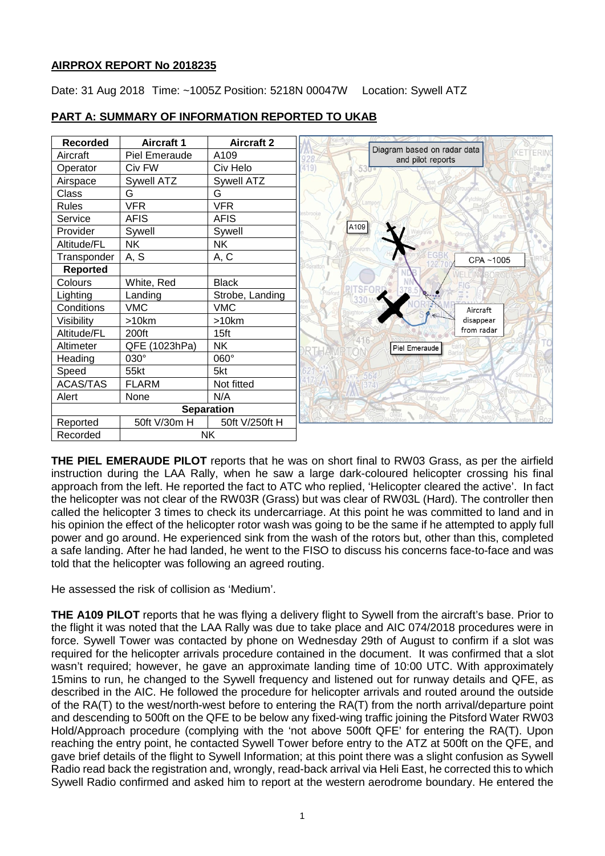## **AIRPROX REPORT No 2018235**

Date: 31 Aug 2018 Time: ~1005Z Position: 5218N 00047W Location: Sywell ATZ



# **PART A: SUMMARY OF INFORMATION REPORTED TO UKAB**

**THE PIEL EMERAUDE PILOT** reports that he was on short final to RW03 Grass, as per the airfield instruction during the LAA Rally, when he saw a large dark-coloured helicopter crossing his final approach from the left. He reported the fact to ATC who replied, 'Helicopter cleared the active'. In fact the helicopter was not clear of the RW03R (Grass) but was clear of RW03L (Hard). The controller then called the helicopter 3 times to check its undercarriage. At this point he was committed to land and in his opinion the effect of the helicopter rotor wash was going to be the same if he attempted to apply full power and go around. He experienced sink from the wash of the rotors but, other than this, completed a safe landing. After he had landed, he went to the FISO to discuss his concerns face-to-face and was told that the helicopter was following an agreed routing.

He assessed the risk of collision as 'Medium'.

**THE A109 PILOT** reports that he was flying a delivery flight to Sywell from the aircraft's base. Prior to the flight it was noted that the LAA Rally was due to take place and AIC 074/2018 procedures were in force. Sywell Tower was contacted by phone on Wednesday 29th of August to confirm if a slot was required for the helicopter arrivals procedure contained in the document. It was confirmed that a slot wasn't required; however, he gave an approximate landing time of 10:00 UTC. With approximately 15mins to run, he changed to the Sywell frequency and listened out for runway details and QFE, as described in the AIC. He followed the procedure for helicopter arrivals and routed around the outside of the RA(T) to the west/north-west before to entering the RA(T) from the north arrival/departure point and descending to 500ft on the QFE to be below any fixed-wing traffic joining the Pitsford Water RW03 Hold/Approach procedure (complying with the 'not above 500ft QFE' for entering the RA(T). Upon reaching the entry point, he contacted Sywell Tower before entry to the ATZ at 500ft on the QFE, and gave brief details of the flight to Sywell Information; at this point there was a slight confusion as Sywell Radio read back the registration and, wrongly, read-back arrival via Heli East, he corrected this to which Sywell Radio confirmed and asked him to report at the western aerodrome boundary. He entered the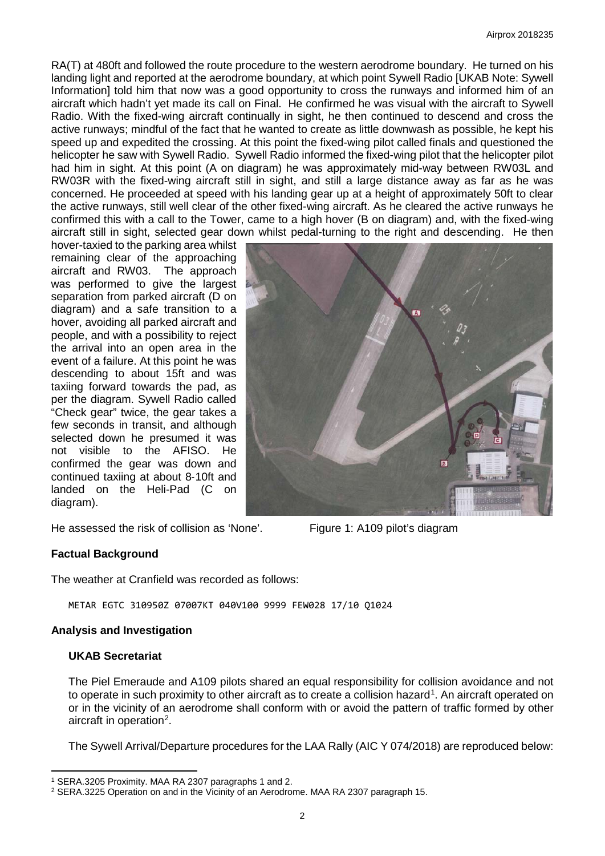RA(T) at 480ft and followed the route procedure to the western aerodrome boundary. He turned on his landing light and reported at the aerodrome boundary, at which point Sywell Radio [UKAB Note: Sywell Information] told him that now was a good opportunity to cross the runways and informed him of an aircraft which hadn't yet made its call on Final. He confirmed he was visual with the aircraft to Sywell Radio. With the fixed-wing aircraft continually in sight, he then continued to descend and cross the active runways; mindful of the fact that he wanted to create as little downwash as possible, he kept his speed up and expedited the crossing. At this point the fixed-wing pilot called finals and questioned the helicopter he saw with Sywell Radio. Sywell Radio informed the fixed-wing pilot that the helicopter pilot had him in sight. At this point (A on diagram) he was approximately mid-way between RW03L and RW03R with the fixed-wing aircraft still in sight, and still a large distance away as far as he was concerned. He proceeded at speed with his landing gear up at a height of approximately 50ft to clear the active runways, still well clear of the other fixed-wing aircraft. As he cleared the active runways he confirmed this with a call to the Tower, came to a high hover (B on diagram) and, with the fixed-wing aircraft still in sight, selected gear down whilst pedal-turning to the right and descending. He then

hover-taxied to the parking area whilst remaining clear of the approaching aircraft and RW03. The approach was performed to give the largest separation from parked aircraft (D on diagram) and a safe transition to a hover, avoiding all parked aircraft and people, and with a possibility to reject the arrival into an open area in the event of a failure. At this point he was descending to about 15ft and was taxiing forward towards the pad, as per the diagram. Sywell Radio called "Check gear" twice, the gear takes a few seconds in transit, and although selected down he presumed it was not visible to the AFISO. He confirmed the gear was down and continued taxiing at about 8‐10ft and landed on the Heli-Pad (C on diagram).

He assessed the risk of collision as 'None'. Figure 1: A109 pilot's diagram



### **Factual Background**

The weather at Cranfield was recorded as follows:

METAR EGTC 310950Z 07007KT 040V100 9999 FEW028 17/10 Q1024

### **Analysis and Investigation**

### **UKAB Secretariat**

l

The Piel Emeraude and A109 pilots shared an equal responsibility for collision avoidance and not to operate in such proximity to other aircraft as to create a collision hazard<sup>[1](#page-1-0)</sup>. An aircraft operated on or in the vicinity of an aerodrome shall conform with or avoid the pattern of traffic formed by other aircraft in operation<sup>[2](#page-1-1)</sup>.

The Sywell Arrival/Departure procedures for the LAA Rally (AIC Y 074/2018) are reproduced below:

<span id="page-1-0"></span><sup>1</sup> SERA.3205 Proximity. MAA RA 2307 paragraphs 1 and 2.

<span id="page-1-1"></span><sup>2</sup> SERA.3225 Operation on and in the Vicinity of an Aerodrome. MAA RA 2307 paragraph 15.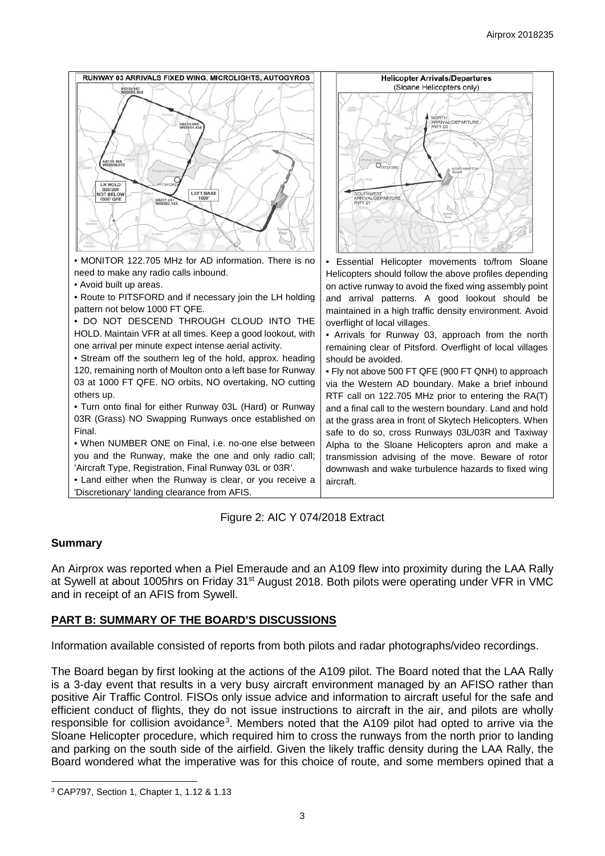



### **Summary**

 $\overline{\phantom{a}}$ 

An Airprox was reported when a Piel Emeraude and an A109 flew into proximity during the LAA Rally at Sywell at about 1005hrs on Friday 31<sup>st</sup> August 2018. Both pilots were operating under VFR in VMC and in receipt of an AFIS from Sywell.

### **PART B: SUMMARY OF THE BOARD'S DISCUSSIONS**

Information available consisted of reports from both pilots and radar photographs/video recordings.

The Board began by first looking at the actions of the A109 pilot. The Board noted that the LAA Rally is a 3-day event that results in a very busy aircraft environment managed by an AFISO rather than positive Air Traffic Control. FISOs only issue advice and information to aircraft useful for the safe and efficient conduct of flights, they do not issue instructions to aircraft in the air, and pilots are wholly responsible for collision avoidance<sup>[3](#page-2-0)</sup>. Members noted that the A109 pilot had opted to arrive via the Sloane Helicopter procedure, which required him to cross the runways from the north prior to landing and parking on the south side of the airfield. Given the likely traffic density during the LAA Rally, the Board wondered what the imperative was for this choice of route, and some members opined that a

<span id="page-2-0"></span><sup>3</sup> CAP797, Section 1, Chapter 1, 1.12 & 1.13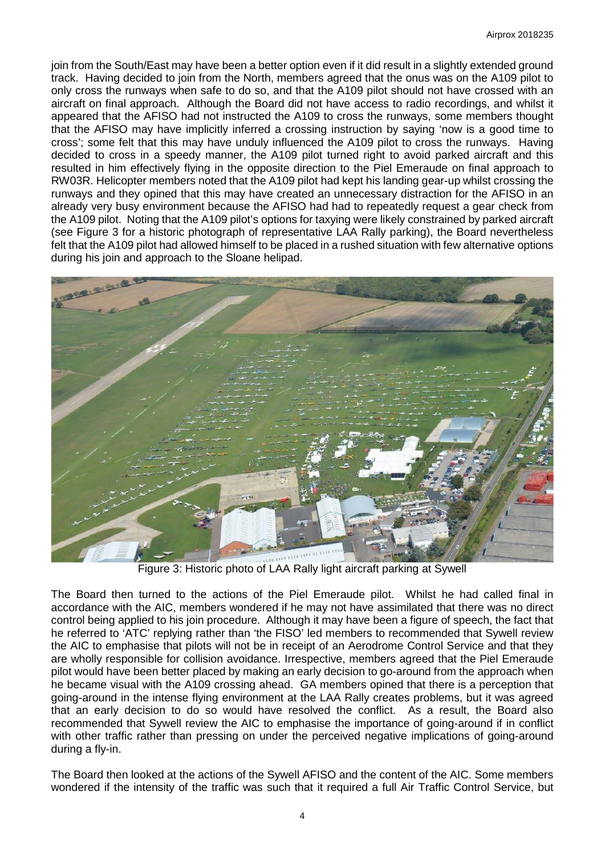join from the South/East may have been a better option even if it did result in a slightly extended ground track. Having decided to join from the North, members agreed that the onus was on the A109 pilot to only cross the runways when safe to do so, and that the A109 pilot should not have crossed with an aircraft on final approach. Although the Board did not have access to radio recordings, and whilst it appeared that the AFISO had not instructed the A109 to cross the runways, some members thought that the AFISO may have implicitly inferred a crossing instruction by saying 'now is a good time to cross'; some felt that this may have unduly influenced the A109 pilot to cross the runways. Having decided to cross in a speedy manner, the A109 pilot turned right to avoid parked aircraft and this resulted in him effectively flying in the opposite direction to the Piel Emeraude on final approach to RW03R. Helicopter members noted that the A109 pilot had kept his landing gear-up whilst crossing the runways and they opined that this may have created an unnecessary distraction for the AFISO in an already very busy environment because the AFISO had had to repeatedly request a gear check from the A109 pilot. Noting that the A109 pilot's options for taxying were likely constrained by parked aircraft (see Figure 3 for a historic photograph of representative LAA Rally parking), the Board nevertheless felt that the A109 pilot had allowed himself to be placed in a rushed situation with few alternative options during his join and approach to the Sloane helipad.



Figure 3: Historic photo of LAA Rally light aircraft parking at Sywell

The Board then turned to the actions of the Piel Emeraude pilot. Whilst he had called final in accordance with the AIC, members wondered if he may not have assimilated that there was no direct control being applied to his join procedure. Although it may have been a figure of speech, the fact that he referred to 'ATC' replying rather than 'the FISO' led members to recommended that Sywell review the AIC to emphasise that pilots will not be in receipt of an Aerodrome Control Service and that they are wholly responsible for collision avoidance. Irrespective, members agreed that the Piel Emeraude pilot would have been better placed by making an early decision to go-around from the approach when he became visual with the A109 crossing ahead. GA members opined that there is a perception that going-around in the intense flying environment at the LAA Rally creates problems, but it was agreed that an early decision to do so would have resolved the conflict. As a result, the Board also recommended that Sywell review the AIC to emphasise the importance of going-around if in conflict with other traffic rather than pressing on under the perceived negative implications of going-around during a fly-in.

The Board then looked at the actions of the Sywell AFISO and the content of the AIC. Some members wondered if the intensity of the traffic was such that it required a full Air Traffic Control Service, but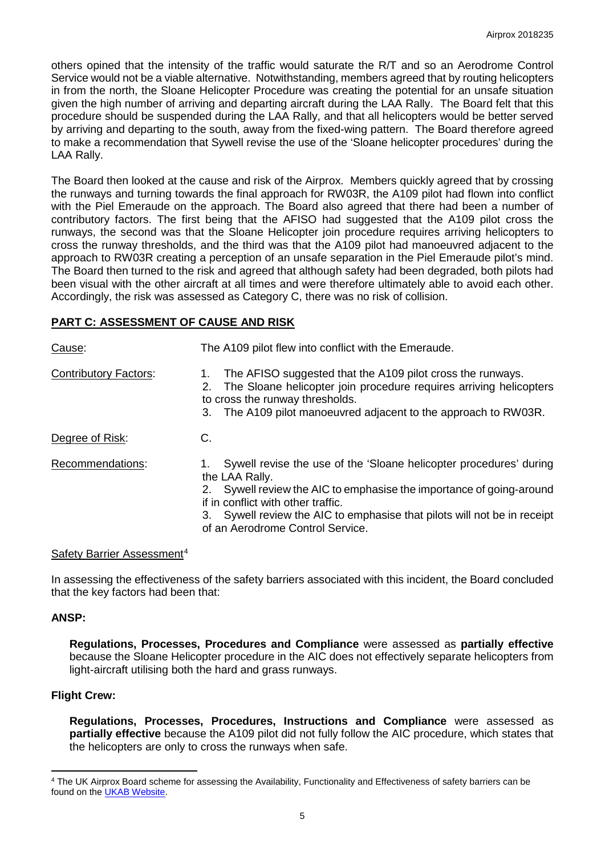others opined that the intensity of the traffic would saturate the R/T and so an Aerodrome Control Service would not be a viable alternative. Notwithstanding, members agreed that by routing helicopters in from the north, the Sloane Helicopter Procedure was creating the potential for an unsafe situation given the high number of arriving and departing aircraft during the LAA Rally. The Board felt that this procedure should be suspended during the LAA Rally, and that all helicopters would be better served by arriving and departing to the south, away from the fixed-wing pattern. The Board therefore agreed to make a recommendation that Sywell revise the use of the 'Sloane helicopter procedures' during the LAA Rally.

The Board then looked at the cause and risk of the Airprox. Members quickly agreed that by crossing the runways and turning towards the final approach for RW03R, the A109 pilot had flown into conflict with the Piel Emeraude on the approach. The Board also agreed that there had been a number of contributory factors. The first being that the AFISO had suggested that the A109 pilot cross the runways, the second was that the Sloane Helicopter join procedure requires arriving helicopters to cross the runway thresholds, and the third was that the A109 pilot had manoeuvred adjacent to the approach to RW03R creating a perception of an unsafe separation in the Piel Emeraude pilot's mind. The Board then turned to the risk and agreed that although safety had been degraded, both pilots had been visual with the other aircraft at all times and were therefore ultimately able to avoid each other. Accordingly, the risk was assessed as Category C, there was no risk of collision.

#### **PART C: ASSESSMENT OF CAUSE AND RISK**

| Cause:                       | The A109 pilot flew into conflict with the Emeraude.                                                                                                                                                                                                                                                            |
|------------------------------|-----------------------------------------------------------------------------------------------------------------------------------------------------------------------------------------------------------------------------------------------------------------------------------------------------------------|
| <b>Contributory Factors:</b> | The AFISO suggested that the A109 pilot cross the runways.<br>The Sloane helicopter join procedure requires arriving helicopters<br>2.<br>to cross the runway thresholds.<br>The A109 pilot manoeuvred adjacent to the approach to RW03R.<br>3.                                                                 |
| Degree of Risk:              | C.                                                                                                                                                                                                                                                                                                              |
| Recommendations:             | Sywell revise the use of the 'Sloane helicopter procedures' during<br>the LAA Rally.<br>Sywell review the AIC to emphasise the importance of going-around<br>if in conflict with other traffic.<br>3. Sywell review the AIC to emphasise that pilots will not be in receipt<br>of an Aerodrome Control Service. |

#### Safety Barrier Assessment<sup>[4](#page-4-0)</sup>

In assessing the effectiveness of the safety barriers associated with this incident, the Board concluded that the key factors had been that:

#### **ANSP:**

**Regulations, Processes, Procedures and Compliance** were assessed as **partially effective** because the Sloane Helicopter procedure in the AIC does not effectively separate helicopters from light-aircraft utilising both the hard and grass runways.

#### **Flight Crew:**

l

**Regulations, Processes, Procedures, Instructions and Compliance** were assessed as **partially effective** because the A109 pilot did not fully follow the AIC procedure, which states that the helicopters are only to cross the runways when safe.

<span id="page-4-0"></span><sup>4</sup> The UK Airprox Board scheme for assessing the Availability, Functionality and Effectiveness of safety barriers can be found on the [UKAB Website.](http://www.airproxboard.org.uk/Learn-more/Airprox-Barrier-Assessment/)